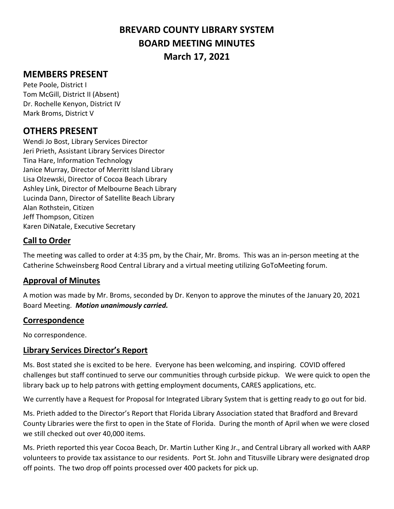# **BREVARD COUNTY LIBRARY SYSTEM BOARD MEETING MINUTES March 17, 2021**

# **MEMBERS PRESENT**

Pete Poole, District I Tom McGill, District II (Absent) Dr. Rochelle Kenyon, District IV Mark Broms, District V

# **OTHERS PRESENT**

Wendi Jo Bost, Library Services Director Jeri Prieth, Assistant Library Services Director Tina Hare, Information Technology Janice Murray, Director of Merritt Island Library Lisa Olzewski, Director of Cocoa Beach Library Ashley Link, Director of Melbourne Beach Library Lucinda Dann, Director of Satellite Beach Library Alan Rothstein, Citizen Jeff Thompson, Citizen Karen DiNatale, Executive Secretary

## **Call to Order**

The meeting was called to order at 4:35 pm, by the Chair, Mr. Broms. This was an in-person meeting at the Catherine Schweinsberg Rood Central Library and a virtual meeting utilizing GoToMeeting forum.

## **Approval of Minutes**

A motion was made by Mr. Broms, seconded by Dr. Kenyon to approve the minutes of the January 20, 2021 Board Meeting. *Motion unanimously carried.*

#### **Correspondence**

No correspondence.

## **Library Services Director's Report**

Ms. Bost stated she is excited to be here. Everyone has been welcoming, and inspiring. COVID offered challenges but staff continued to serve our communities through curbside pickup. We were quick to open the library back up to help patrons with getting employment documents, CARES applications, etc.

We currently have a Request for Proposal for Integrated Library System that is getting ready to go out for bid.

Ms. Prieth added to the Director's Report that Florida Library Association stated that Bradford and Brevard County Libraries were the first to open in the State of Florida. During the month of April when we were closed we still checked out over 40,000 items.

Ms. Prieth reported this year Cocoa Beach, Dr. Martin Luther King Jr., and Central Library all worked with AARP volunteers to provide tax assistance to our residents. Port St. John and Titusville Library were designated drop off points. The two drop off points processed over 400 packets for pick up.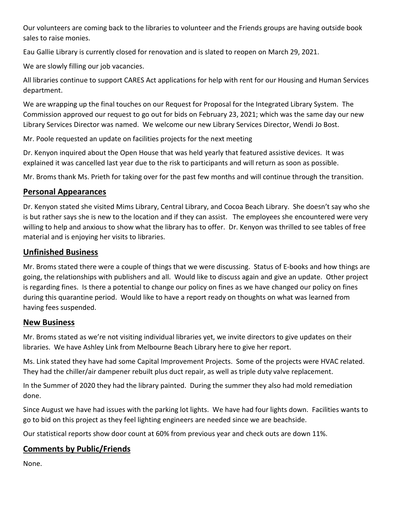Our volunteers are coming back to the libraries to volunteer and the Friends groups are having outside book sales to raise monies.

Eau Gallie Library is currently closed for renovation and is slated to reopen on March 29, 2021.

We are slowly filling our job vacancies.

All libraries continue to support CARES Act applications for help with rent for our Housing and Human Services department.

We are wrapping up the final touches on our Request for Proposal for the Integrated Library System. The Commission approved our request to go out for bids on February 23, 2021; which was the same day our new Library Services Director was named. We welcome our new Library Services Director, Wendi Jo Bost.

Mr. Poole requested an update on facilities projects for the next meeting

Dr. Kenyon inquired about the Open House that was held yearly that featured assistive devices. It was explained it was cancelled last year due to the risk to participants and will return as soon as possible.

Mr. Broms thank Ms. Prieth for taking over for the past few months and will continue through the transition.

## **Personal Appearances**

Dr. Kenyon stated she visited Mims Library, Central Library, and Cocoa Beach Library. She doesn't say who she is but rather says she is new to the location and if they can assist. The employees she encountered were very willing to help and anxious to show what the library has to offer. Dr. Kenyon was thrilled to see tables of free material and is enjoying her visits to libraries.

#### **Unfinished Business**

Mr. Broms stated there were a couple of things that we were discussing. Status of E-books and how things are going, the relationships with publishers and all. Would like to discuss again and give an update. Other project is regarding fines. Is there a potential to change our policy on fines as we have changed our policy on fines during this quarantine period. Would like to have a report ready on thoughts on what was learned from having fees suspended.

#### **New Business**

Mr. Broms stated as we're not visiting individual libraries yet, we invite directors to give updates on their libraries. We have Ashley Link from Melbourne Beach Library here to give her report.

Ms. Link stated they have had some Capital Improvement Projects. Some of the projects were HVAC related. They had the chiller/air dampener rebuilt plus duct repair, as well as triple duty valve replacement.

In the Summer of 2020 they had the library painted. During the summer they also had mold remediation done.

Since August we have had issues with the parking lot lights. We have had four lights down. Facilities wants to go to bid on this project as they feel lighting engineers are needed since we are beachside.

Our statistical reports show door count at 60% from previous year and check outs are down 11%.

## **Comments by Public/Friends**

None.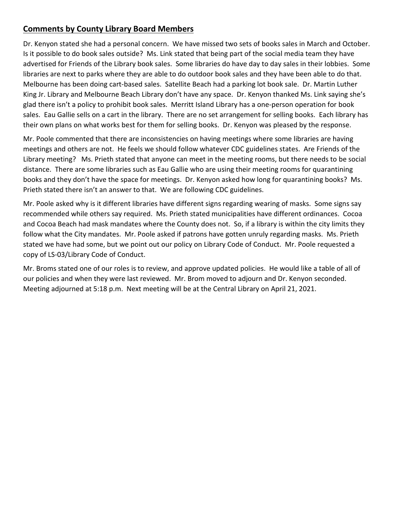## **Comments by County Library Board Members**

Dr. Kenyon stated she had a personal concern. We have missed two sets of books sales in March and October. Is it possible to do book sales outside? Ms. Link stated that being part of the social media team they have advertised for Friends of the Library book sales. Some libraries do have day to day sales in their lobbies. Some libraries are next to parks where they are able to do outdoor book sales and they have been able to do that. Melbourne has been doing cart-based sales. Satellite Beach had a parking lot book sale. Dr. Martin Luther King Jr. Library and Melbourne Beach Library don't have any space. Dr. Kenyon thanked Ms. Link saying she's glad there isn't a policy to prohibit book sales. Merritt Island Library has a one-person operation for book sales. Eau Gallie sells on a cart in the library. There are no set arrangement for selling books. Each library has their own plans on what works best for them for selling books. Dr. Kenyon was pleased by the response.

Mr. Poole commented that there are inconsistencies on having meetings where some libraries are having meetings and others are not. He feels we should follow whatever CDC guidelines states. Are Friends of the Library meeting? Ms. Prieth stated that anyone can meet in the meeting rooms, but there needs to be social distance. There are some libraries such as Eau Gallie who are using their meeting rooms for quarantining books and they don't have the space for meetings. Dr. Kenyon asked how long for quarantining books? Ms. Prieth stated there isn't an answer to that. We are following CDC guidelines.

Mr. Poole asked why is it different libraries have different signs regarding wearing of masks. Some signs say recommended while others say required. Ms. Prieth stated municipalities have different ordinances. Cocoa and Cocoa Beach had mask mandates where the County does not. So, if a library is within the city limits they follow what the City mandates. Mr. Poole asked if patrons have gotten unruly regarding masks. Ms. Prieth stated we have had some, but we point out our policy on Library Code of Conduct. Mr. Poole requested a copy of LS-03/Library Code of Conduct.

Mr. Broms stated one of our roles is to review, and approve updated policies. He would like a table of all of our policies and when they were last reviewed. Mr. Brom moved to adjourn and Dr. Kenyon seconded. Meeting adjourned at 5:18 p.m. Next meeting will be at the Central Library on April 21, 2021.